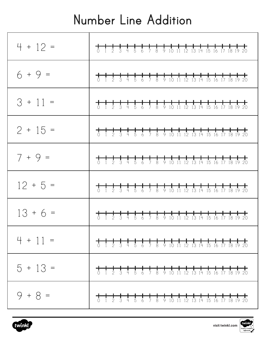## **Number Line Addition**

| $4 + 12 =$ | <del>╋╶╂╌╂╌╂╌╂╌╂╌╂╌╂╌╂╌╂╌╂╌╂╌╂╌╂╌╂╌╂╌╂╌╂╌╋</del><br>○ 1 2 3 4 5 6 7 8 9 10 11 12 13 14 15 16 17 18 19 20                                    |
|------------|---------------------------------------------------------------------------------------------------------------------------------------------|
| $6 + 9 =$  | <del>╋╺╉╺╂╺╂╺╂╺╂╺╂╺╂╺╂╺╂╺╂╺╂╺╂╺╂╺╂╺╂╺╂╺╂</del><br>○ 1 2 3 4 5 6 7 8 9 10 11 12 13 14 15 16 17 18 19 20                                      |
| $3 + 11 =$ | <del>╋╶╂╌╂╌╂╌╂╌┨╌┨╌╂╌┨╌┨╌┨╌┨╌┨╌┨╌┨╌┨╌┨╌┨╌╋</del><br>○ 1 2 3 4 5 6 7 8 9 10 11 12 13 14 15 16 17 18 19 20                                    |
| $2 + 15 =$ |                                                                                                                                             |
| $7 + 9 =$  |                                                                                                                                             |
| $12 + 5 =$ |                                                                                                                                             |
| $13 + 6 =$ |                                                                                                                                             |
| $4 + 11 =$ | $\begin{array}{c}\n+ \\ \uparrow \\ \uparrow\n\end{array}$<br>$\frac{1}{5}$<br>$\frac{1}{3}$                                                |
| $5 + 13 =$ | 8 9 10 11 12 13 14 15 16 17 18 19 20<br>$\frac{1}{5}$ 6<br>$\frac{1}{3}$ 4<br>$\bar{7}$<br>$0 \t1 \t2$                                      |
| $9 + 8 =$  | <del>.</del><br>$\frac{1}{9}$<br>$\frac{1}{4}$<br>$\frac{1}{8}$<br>$\frac{1}{3}$<br>$\frac{1}{2}$<br>10<br>12 13 14 15 16 17 18 19 20<br>11 |